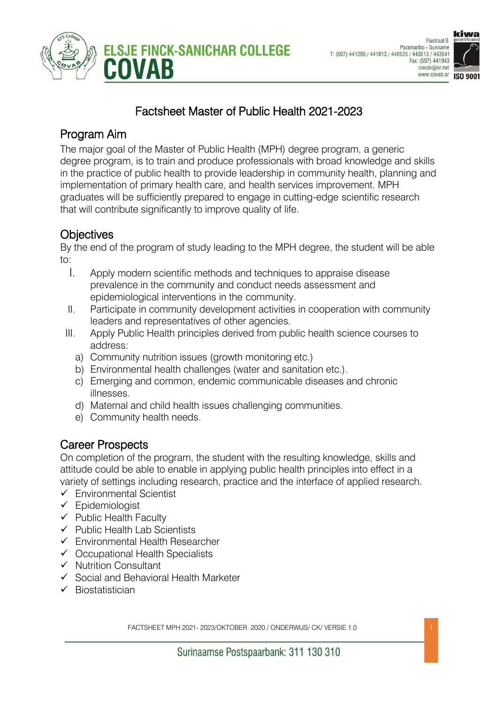



## Factsheet Master of Public Health 2021-2023

#### Program Aim

The major goal of the Master of Public Health (MPH) degree program, a generic degree program, is to train and produce professionals with broad knowledge and skills in the practice of public health to provide leadership in community health, planning and implementation of primary health care, and health services improvement. MPH graduates will be sufficiently prepared to engage in cutting-edge scientific research that will contribute significantly to improve quality of life.

## **Objectives**

By the end of the program of study leading to the MPH degree, the student will be able to:

- I. Apply modern scientific methods and techniques to appraise disease prevalence in the community and conduct needs assessment and epidemiological interventions in the community.
- II. Participate in community development activities in cooperation with community leaders and representatives of other agencies.
- III. Apply Public Health principles derived from public health science courses to address:
	- a) Community nutrition issues (growth monitoring etc.)
	- b) Environmental health challenges (water and sanitation etc.).
	- c) Emerging and common, endemic communicable diseases and chronic illnesses.
	- d) Maternal and child health issues challenging communities.
	- e) Community health needs.

## Career Prospects

On completion of the program, the student with the resulting knowledge, skills and attitude could be able to enable in applying public health principles into effect in a variety of settings including research, practice and the interface of applied research.

- ✓ Environmental Scientist
- ✓ Epidemiologist
- ✓ Public Health Faculty
- ✓ Public Health Lab Scientists
- ✓ Environmental Health Researcher
- ✓ Occupational Health Specialists
- ✓ Nutrition Consultant
- ✓ Social and Behavioral Health Marketer
- ✓ Biostatistician

FACTSHEET MPH 2021- 2023/OKTOBER 2020 / ONDERWIJS/ CK/ VERSIE 1.0 1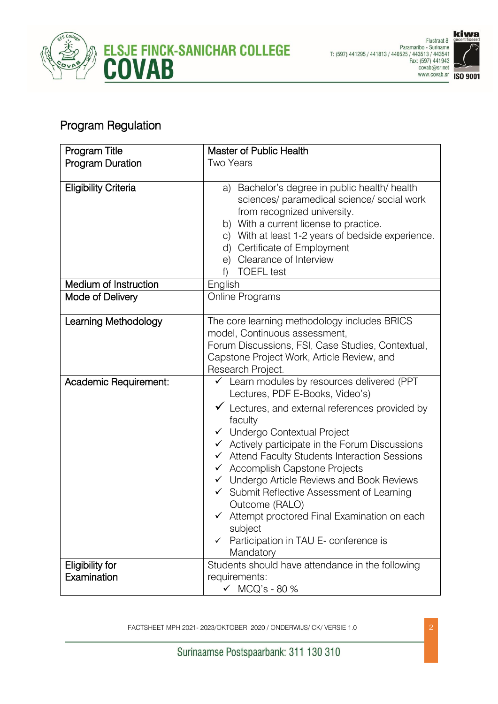



# Program Regulation

| Program Title                         | Master of Public Health                                                                                                                                                                                                                                                                                                                                                                                                                                                                                                                                                                                                                                |  |
|---------------------------------------|--------------------------------------------------------------------------------------------------------------------------------------------------------------------------------------------------------------------------------------------------------------------------------------------------------------------------------------------------------------------------------------------------------------------------------------------------------------------------------------------------------------------------------------------------------------------------------------------------------------------------------------------------------|--|
| <b>Program Duration</b>               | <b>Two Years</b>                                                                                                                                                                                                                                                                                                                                                                                                                                                                                                                                                                                                                                       |  |
| <b>Eligibility Criteria</b>           | Bachelor's degree in public health/ health<br>a)<br>sciences/ paramedical science/ social work<br>from recognized university.<br>b) With a current license to practice.<br>c) With at least 1-2 years of bedside experience.<br>Certificate of Employment<br>d)<br>Clearance of Interview<br>e)<br><b>TOEFL</b> test<br>f                                                                                                                                                                                                                                                                                                                              |  |
| Medium of Instruction                 | English                                                                                                                                                                                                                                                                                                                                                                                                                                                                                                                                                                                                                                                |  |
| Mode of Delivery                      | Online Programs                                                                                                                                                                                                                                                                                                                                                                                                                                                                                                                                                                                                                                        |  |
| Learning Methodology                  | The core learning methodology includes BRICS<br>model, Continuous assessment,<br>Forum Discussions, FSI, Case Studies, Contextual,<br>Capstone Project Work, Article Review, and<br>Research Project.                                                                                                                                                                                                                                                                                                                                                                                                                                                  |  |
| Academic Requirement:                 | $\checkmark$ Learn modules by resources delivered (PPT<br>Lectures, PDF E-Books, Video's)<br>$\checkmark$ Lectures, and external references provided by<br>faculty<br>← Undergo Contextual Project<br>$\checkmark$ Actively participate in the Forum Discussions<br>Attend Faculty Students Interaction Sessions<br>$\checkmark$<br>$\checkmark$ Accomplish Capstone Projects<br>← Undergo Article Reviews and Book Reviews<br>Submit Reflective Assessment of Learning<br>$\checkmark$<br>Outcome (RALO)<br>$\checkmark$ Attempt proctored Final Examination on each<br>subject<br>Participation in TAU E- conference is<br>$\checkmark$<br>Mandatory |  |
| <b>Eligibility for</b><br>Examination | Students should have attendance in the following<br>requirements:<br>$\checkmark$ MCQ's - 80 %                                                                                                                                                                                                                                                                                                                                                                                                                                                                                                                                                         |  |

FACTSHEET MPH 2021- 2023/OKTOBER 2020 / ONDERWIJS/ CK/ VERSIE 1.0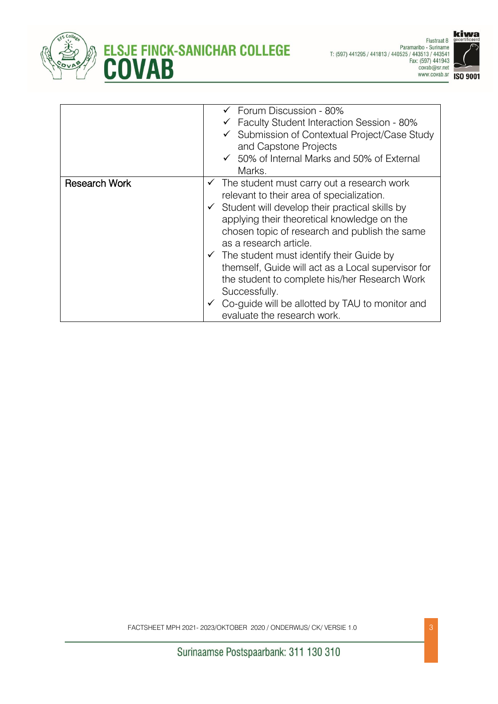





| $\checkmark$ Forum Discussion - 80%                            |
|----------------------------------------------------------------|
| $\checkmark$ Faculty Student Interaction Session - 80%         |
| ✔ Submission of Contextual Project/Case Study                  |
| and Capstone Projects                                          |
| $\checkmark$ 50% of Internal Marks and 50% of External         |
| Marks.                                                         |
| The student must carry out a research work<br>✓                |
| relevant to their area of specialization.                      |
| Student will develop their practical skills by<br>$\checkmark$ |
| applying their theoretical knowledge on the                    |
| chosen topic of research and publish the same                  |
| as a research article.                                         |
| $\checkmark$ The student must identify their Guide by          |
| themself, Guide will act as a Local supervisor for             |
| the student to complete his/her Research Work                  |
| Successfully.                                                  |
| Co-guide will be allotted by TAU to monitor and                |
| evaluate the research work.                                    |
|                                                                |

FACTSHEET MPH 2021- 2023/OKTOBER 2020 / ONDERWIJS/ CK/ VERSIE 1.0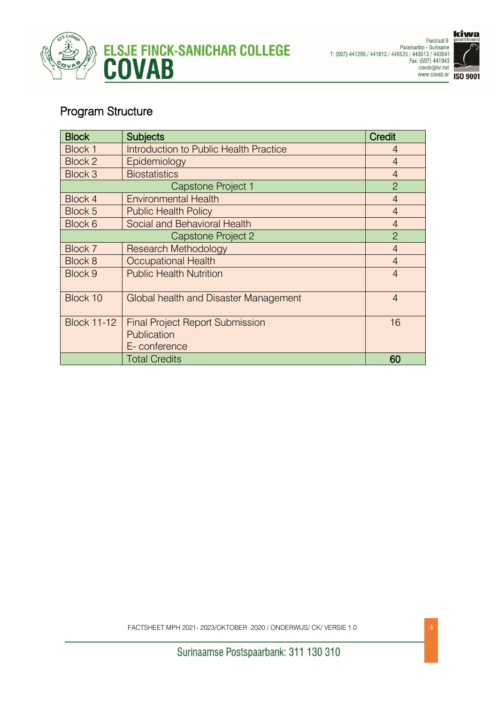



## Program Structure

| <b>Block</b>       | <b>Subjects</b>                                                       | <b>Credit</b>  |
|--------------------|-----------------------------------------------------------------------|----------------|
| Block 1            | Introduction to Public Health Practice                                | $\overline{4}$ |
| Block 2            | Epidemiology                                                          | $\overline{4}$ |
| Block 3            | <b>Biostatistics</b>                                                  | $\overline{4}$ |
| Capstone Project 1 |                                                                       | 2              |
| Block 4            | <b>Environmental Health</b>                                           | $\overline{4}$ |
| Block 5            | <b>Public Health Policy</b>                                           | $\overline{4}$ |
| Block 6            | Social and Behavioral Health                                          | $\overline{4}$ |
| Capstone Project 2 |                                                                       | $\overline{2}$ |
| Block 7            | <b>Research Methodology</b>                                           | $\overline{4}$ |
| Block 8            | <b>Occupational Health</b>                                            | $\overline{4}$ |
| Block 9            | <b>Public Health Nutrition</b>                                        | $\overline{4}$ |
| Block 10           | Global health and Disaster Management                                 | $\overline{4}$ |
| <b>Block 11-12</b> | <b>Final Project Report Submission</b><br>Publication<br>E-conference | 16             |
|                    | <b>Total Credits</b>                                                  | 60             |

FACTSHEET MPH 2021- 2023/OKTOBER 2020 / ONDERWIJS/ CK/ VERSIE 1.0 4